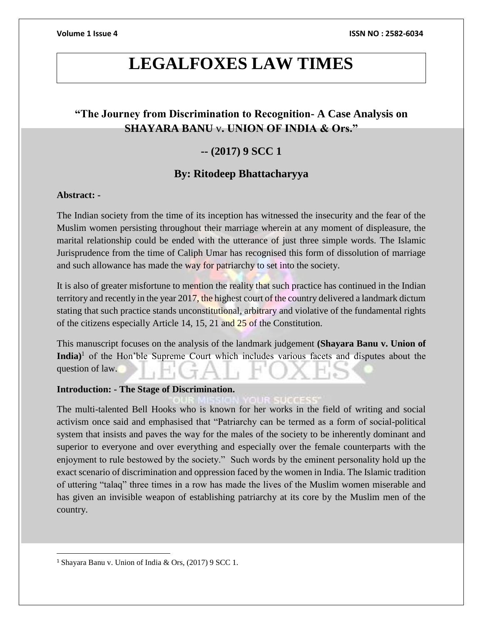**Volume 1 Issue 4 ISSN NO : 2582-6034**

## **LEGALFOXES LAW TIMES**

### **"The Journey from Discrimination to Recognition- A Case Analysis on SHAYARA BANU** v**. UNION OF INDIA & Ors."**

### **-- (2017) 9 SCC 1**

### **By: Ritodeep Bhattacharyya**

### **Abstract: -**

The Indian society from the time of its inception has witnessed the insecurity and the fear of the Muslim women persisting throughout their marriage wherein at any moment of displeasure, the marital relationship could be ended with the utterance of just three simple words. The Islamic Jurisprudence from the time of Caliph Umar has recognised this form of dissolution of marriage and such allowance has made the way for patriarchy to set into the society.

It is also of greater misfortune to mention the reality that such practice has continued in the Indian territory and recently in the year 2017, the highest court of the country delivered a landmark dictum stating that such practice stands unconstitutional, arbitrary and violative of the fundamental rights of the citizens especially Article 14, 15, 21 and 25 of the Constitution.

This manuscript focuses on the analysis of the landmark judgement **(Shayara Banu v. Union of India)**<sup>1</sup> of the Hon'ble Supreme Court which includes various facets and disputes about the question of law.

#### **Introduction: - The Stage of Discrimination.**

The multi-talented Bell Hooks who is known for her works in the field of writing and social activism once said and emphasised that "Patriarchy can be termed as a form of social-political system that insists and paves the way for the males of the society to be inherently dominant and superior to everyone and over everything and especially over the female counterparts with the enjoyment to rule bestowed by the society." Such words by the eminent personality hold up the exact scenario of discrimination and oppression faced by the women in India. The Islamic tradition of uttering "talaq" three times in a row has made the lives of the Muslim women miserable and has given an invisible weapon of establishing patriarchy at its core by the Muslim men of the country.

 $\overline{\phantom{a}}$ 

<sup>1</sup> Shayara Banu v. Union of India & Ors, (2017) 9 SCC 1.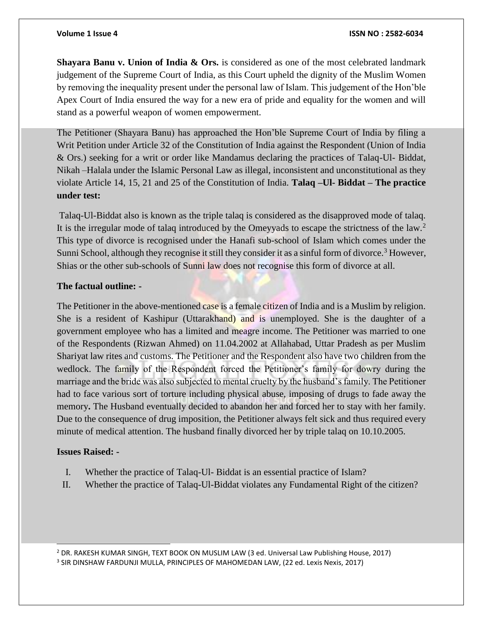**Shayara Banu v. Union of India & Ors.** is considered as one of the most celebrated landmark judgement of the Supreme Court of India, as this Court upheld the dignity of the Muslim Women by removing the inequality present under the personal law of Islam. This judgement of the Hon'ble Apex Court of India ensured the way for a new era of pride and equality for the women and will stand as a powerful weapon of women empowerment.

The Petitioner (Shayara Banu) has approached the Hon'ble Supreme Court of India by filing a Writ Petition under Article 32 of the Constitution of India against the Respondent (Union of India & Ors.) seeking for a writ or order like Mandamus declaring the practices of Talaq-Ul- Biddat, Nikah –Halala under the Islamic Personal Law as illegal, inconsistent and unconstitutional as they violate Article 14, 15, 21 and 25 of the Constitution of India. **Talaq –Ul- Biddat – The practice under test:**

Talaq-Ul-Biddat also is known as the triple talaq is considered as the disapproved mode of talaq. It is the irregular mode of talaq introduced by the Omeyyads to escape the strictness of the law.<sup>2</sup> This type of divorce is recognised under the Hanafi sub-school of Islam which comes under the Sunni School, although they recognise it still they consider it as a sinful form of divorce.<sup>3</sup> However, Shias or the other sub-schools of Sunni law does not recognise this form of divorce at all.

#### **The factual outline: -**

The Petitioner in the above-mentioned case is a female citizen of India and is a Muslim by religion. She is a resident of Kashipur (Uttarakhand) and is unemployed. She is the daughter of a government employee who has a limited and meagre income. The Petitioner was married to one of the Respondents (Rizwan Ahmed) on 11.04.2002 at Allahabad, Uttar Pradesh as per Muslim Shariyat law rites and customs. The Petitioner and the Respondent also have two children from the wedlock. The family of the Respondent forced the Petitioner's family for dowry during the marriage and the bride was also subjected to mental cruelty by the husband's family. The Petitioner had to face various sort of torture including physical abuse, imposing of drugs to fade away the memory**.** The Husband eventually decided to abandon her and forced her to stay with her family. Due to the consequence of drug imposition, the Petitioner always felt sick and thus required every minute of medical attention. The husband finally divorced her by triple talaq on 10.10.2005.

#### **Issues Raised: -**

l

- I. Whether the practice of Talaq-Ul- Biddat is an essential practice of Islam?
- II. Whether the practice of Talaq-Ul-Biddat violates any Fundamental Right of the citizen?

<sup>2</sup> DR. RAKESH KUMAR SINGH, TEXT BOOK ON MUSLIM LAW (3 ed. Universal Law Publishing House, 2017)

3 SIR DINSHAW FARDUNJI MULLA, PRINCIPLES OF MAHOMEDAN LAW, (22 ed. Lexis Nexis, 2017)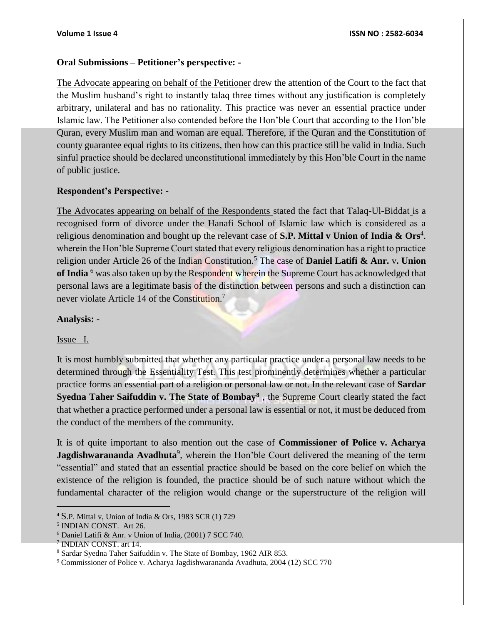#### **Volume 1 Issue 4 ISSN NO : 2582-6034**

#### **Oral Submissions – Petitioner's perspective: -**

The Advocate appearing on behalf of the Petitioner drew the attention of the Court to the fact that the Muslim husband's right to instantly talaq three times without any justification is completely arbitrary, unilateral and has no rationality. This practice was never an essential practice under Islamic law. The Petitioner also contended before the Hon'ble Court that according to the Hon'ble Quran, every Muslim man and woman are equal. Therefore, if the Quran and the Constitution of county guarantee equal rights to its citizens, then how can this practice still be valid in India. Such sinful practice should be declared unconstitutional immediately by this Hon'ble Court in the name of public justice.

#### **Respondent's Perspective: -**

The Advocates appearing on behalf of the Respondents stated the fact that Talaq-Ul-Biddat is a recognised form of divorce under the Hanafi School of Islamic law which is considered as a religious denomination and bought up the relevant case of **S.P. Mittal v Union of India & Ors**<sup>4</sup>. wherein the Hon'ble Supreme Court stated that every religious denomination has a right to practice religion under Article 26 of the Indian Constitution.<sup>5</sup> The case of **Daniel Latifi & Anr.** v**. Union of India** <sup>6</sup> was also taken up by the Respondent wherein the Supreme Court has acknowledged that personal laws are a legitimate basis of the distinction between persons and such a distinction can never violate Article 14 of the Constitution.<sup>7</sup>

#### **Analysis: -**

#### Issue –I.

It is most humbly submitted that whether any particular practice under a personal law needs to be determined through the Essentiality Test. This test prominently determines whether a particular practice forms an essential part of a religion or personal law or not. In the relevant case of **Sardar Syedna Taher Saifuddin v. The State of Bombay<sup>8</sup>** , the Supreme Court clearly stated the fact that whether a practice performed under a personal law is essential or not, it must be deduced from the conduct of the members of the community.

It is of quite important to also mention out the case of **Commissioner of Police v. Acharya Jagdishwarananda Avadhuta**<sup>9</sup>, wherein the Hon'ble Court delivered the meaning of the term "essential" and stated that an essential practice should be based on the core belief on which the existence of the religion is founded, the practice should be of such nature without which the fundamental character of the religion would change or the superstructure of the religion will

<sup>4</sup> S.P. Mittal v, Union of India & Ors, 1983 SCR (1) 729

<sup>5</sup> INDIAN CONST. Art 26.

<sup>6</sup> Daniel Latifi & Anr. v Union of India, (2001) 7 SCC 740.

<sup>7</sup> INDIAN CONST. art 14.

<sup>8</sup> Sardar Syedna Taher Saifuddin v. The State of Bombay, 1962 AIR 853.

<sup>9</sup> Commissioner of Police v. Acharya Jagdishwarananda Avadhuta, 2004 (12) SCC 770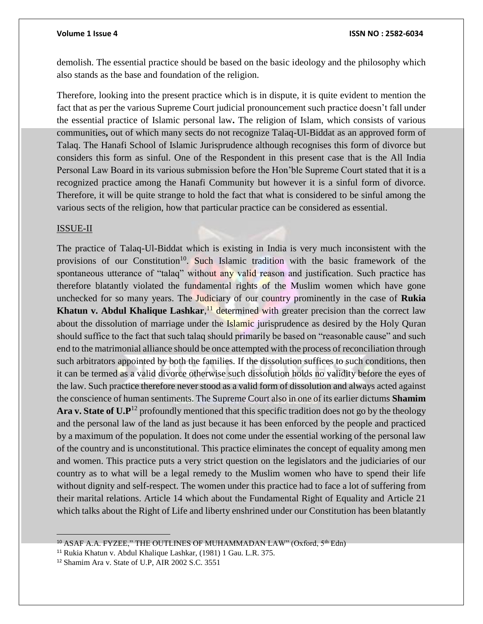#### **Volume 1 Issue 4 ISSN NO : 2582-6034**

demolish. The essential practice should be based on the basic ideology and the philosophy which also stands as the base and foundation of the religion.

Therefore, looking into the present practice which is in dispute, it is quite evident to mention the fact that as per the various Supreme Court judicial pronouncement such practice doesn't fall under the essential practice of Islamic personal law**.** The religion of Islam, which consists of various communities**,** out of which many sects do not recognize Talaq-Ul-Biddat as an approved form of Talaq. The Hanafi School of Islamic Jurisprudence although recognises this form of divorce but considers this form as sinful. One of the Respondent in this present case that is the All India Personal Law Board in its various submission before the Hon'ble Supreme Court stated that it is a recognized practice among the Hanafi Community but however it is a sinful form of divorce. Therefore, it will be quite strange to hold the fact that what is considered to be sinful among the various sects of the religion, how that particular practice can be considered as essential.

#### ISSUE-II

 $\overline{a}$ 

The practice of Talaq-Ul-Biddat which is existing in India is very much inconsistent with the provisions of our Constitution<sup>10</sup>. Such Islamic tradition with the basic framework of the spontaneous utterance of "talaq" without any valid reason and justification. Such practice has therefore blatantly violated the fundamental rights of the Muslim women which have gone unchecked for so many years. The Judiciary of our country prominently in the case of **Rukia Khatun v. Abdul Khalique Lashkar**,<sup>11</sup> determined with greater precision than the correct law about the dissolution of marriage under the Islamic jurisprudence as desired by the Holy Quran should suffice to the fact that such talaq should primarily be based on "reasonable cause" and such end to the matrimonial alliance should be once attempted with the process of reconciliation through such arbitrators appointed by both the families. If the dissolution suffices to such conditions, then it can be termed as a valid divorce otherwise such dissolution holds no validity before the eyes of the law. Such practice therefore never stood as a valid form of dissolution and always acted against the conscience of human sentiments. The Supreme Court also in one of its earlier dictums **Shamim Ara v. State of**  $\mathbf{U}.\mathbf{P}^{12}$  **profoundly mentioned that this specific tradition does not go by the theology** and the personal law of the land as just because it has been enforced by the people and practiced by a maximum of the population. It does not come under the essential working of the personal law of the country and is unconstitutional. This practice eliminates the concept of equality among men and women. This practice puts a very strict question on the legislators and the judiciaries of our country as to what will be a legal remedy to the Muslim women who have to spend their life without dignity and self-respect. The women under this practice had to face a lot of suffering from their marital relations. Article 14 which about the Fundamental Right of Equality and Article 21 which talks about the Right of Life and liberty enshrined under our Constitution has been blatantly

<sup>10</sup> ASAF A.A. FYZEE," THE OUTLINES OF MUHAMMADAN LAW" (Oxford, 5th Edn)

<sup>11</sup> Rukia Khatun v. Abdul Khalique Lashkar, (1981) 1 Gau. L.R. 375.

<sup>12</sup> Shamim Ara v. State of U.P, AIR 2002 S.C. 3551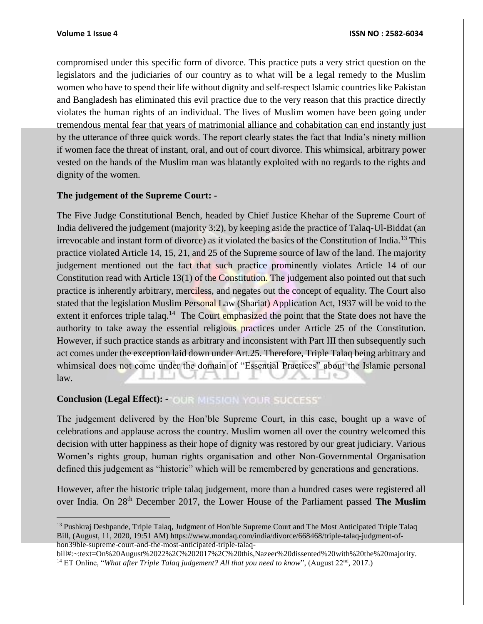#### **Volume 1 Issue 4 ISSN NO : 2582-6034**

compromised under this specific form of divorce. This practice puts a very strict question on the legislators and the judiciaries of our country as to what will be a legal remedy to the Muslim women who have to spend their life without dignity and self-respect Islamic countries like Pakistan and Bangladesh has eliminated this evil practice due to the very reason that this practice directly violates the human rights of an individual. The lives of Muslim women have been going under tremendous mental fear that years of matrimonial alliance and cohabitation can end instantly just by the utterance of three quick words. The report clearly states the fact that India's ninety million if women face the threat of instant, oral, and out of court divorce. This whimsical, arbitrary power vested on the hands of the Muslim man was blatantly exploited with no regards to the rights and dignity of the women.

#### **The judgement of the Supreme Court: -**

The Five Judge Constitutional Bench, headed by Chief Justice Khehar of the Supreme Court of India delivered the judgement (majority 3:2), by keeping aside the practice of Talaq-Ul-Biddat (an irrevocable and instant form of divorce) as it violated the basics of the Constitution of India.<sup>13</sup> This practice violated Article 14, 15, 21, and 25 of the Supreme source of law of the land. The majority judgement mentioned out the fact that such practice prominently violates Article 14 of our Constitution read with Article 13(1) of the Constitution. The judgement also pointed out that such practice is inherently arbitrary, merciless, and negates out the concept of equality. The Court also stated that the legislation Muslim Personal Law (Shariat) Application Act, 1937 will be void to the extent it enforces triple talaq.<sup>14</sup> The Court emphasized the point that the State does not have the authority to take away the essential religious practices under Article 25 of the Constitution. However, if such practice stands as arbitrary and inconsistent with Part III then subsequently such act comes under the exception laid down under Art.25. Therefore, Triple Talaq being arbitrary and whimsical does not come under the domain of "Essential Practices" about the Islamic personal law.

### **Conclusion (Legal Effect): - OUR MISSION YOUR SUCCESS'**

The judgement delivered by the Hon'ble Supreme Court, in this case, bought up a wave of celebrations and applause across the country. Muslim women all over the country welcomed this decision with utter happiness as their hope of dignity was restored by our great judiciary. Various Women's rights group, human rights organisation and other Non-Governmental Organisation defined this judgement as "historic" which will be remembered by generations and generations.

However, after the historic triple talaq judgement, more than a hundred cases were registered all over India. On 28th December 2017, the Lower House of the Parliament passed **The Muslim** 

<sup>&</sup>lt;sup>13</sup> Pushkraj Deshpande, Triple Talaq, Judgment of Hon'ble Supreme Court and The Most Anticipated Triple Talaq Bill, (August, 11, 2020, 19:51 AM) https://www.mondaq.com/india/divorce/668468/triple-talaq-judgment-ofhon39ble-supreme-court-and-the-most-anticipated-triple-talaq-

bill#:~:text=On%20August%2022%2C%202017%2C%20this,Nazeer%20dissented%20with%20the%20majority. <sup>14</sup> ET Online, "*What after Triple Talaq judgement? All that you need to know*", (August 22<sup>nd</sup>, 2017.)